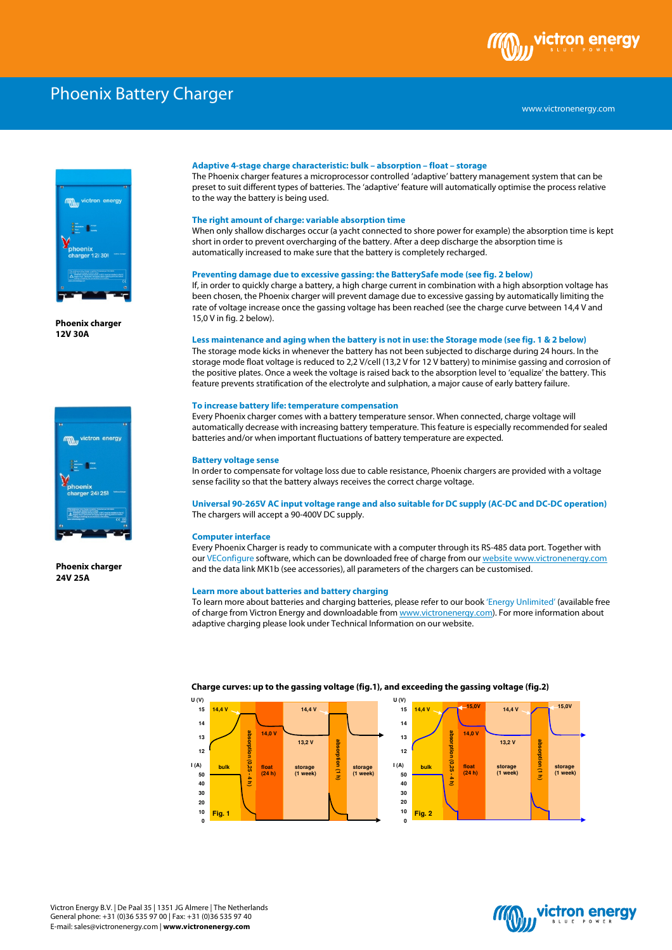

# Phoenix Battery Charger



**Phoenix charger 12V 30A** 



**Phoenix charger 24V 25A** 

#### **Adaptive 4-stage charge characteristic: bulk – absorption – float – storage**

The Phoenix charger features a microprocessor controlled 'adaptive' battery management system that can be preset to suit different types of batteries. The 'adaptive' feature will automatically optimise the process relative to the way the battery is being used.

# **The right amount of charge: variable absorption time**

When only shallow discharges occur (a yacht connected to shore power for example) the absorption time is kept short in order to prevent overcharging of the battery. After a deep discharge the absorption time is automatically increased to make sure that the battery is completely recharged.

#### **Preventing damage due to excessive gassing: the BatterySafe mode (see fig. 2 below)**

If, in order to quickly charge a battery, a high charge current in combination with a high absorption voltage has been chosen, the Phoenix charger will prevent damage due to excessive gassing by automatically limiting the rate of voltage increase once the gassing voltage has been reached (see the charge curve between 14,4 V and 15,0 V in fig. 2 below).

#### **Less maintenance and aging when the battery is not in use: the Storage mode (see fig. 1 & 2 below)**

The storage mode kicks in whenever the battery has not been subjected to discharge during 24 hours. In the storage mode float voltage is reduced to 2,2 V/cell (13,2 V for 12 V battery) to minimise gassing and corrosion of the positive plates. Once a week the voltage is raised back to the absorption level to 'equalize' the battery. This feature prevents stratification of the electrolyte and sulphation, a major cause of early battery failure.

#### **To increase battery life: temperature compensation**

Every Phoenix charger comes with a battery temperature sensor. When connected, charge voltage will automatically decrease with increasing battery temperature. This feature is especially recommended for sealed batteries and/or when important fluctuations of battery temperature are expected.

#### **Battery voltage sense**

In order to compensate for voltage loss due to cable resistance, Phoenix chargers are provided with a voltage sense facility so that the battery always receives the correct charge voltage.

**Universal 90-265V AC input voltage range and also suitable for DC supply (AC-DC and DC-DC operation)**  The chargers will accept a 90-400V DC supply.

#### **Computer interface**

Every Phoenix Charger is ready to communicate with a computer through its RS-485 data port. Together with our VEConfigure software, which can be downloaded free of charge from our website www.victronenergy.com and the data link MK1b (see accessories), all parameters of the chargers can be customised.

#### **Learn more about batteries and battery charging**

To learn more about batteries and charging batteries, please refer to our book 'Energy Unlimited' (available free of charge from Victron Energy and downloadable from www.victronenergy.com). For more information about adaptive charging please look under Technical Information on our website.



#### **Charge curves: up to the gassing voltage (fig.1), and exceeding the gassing voltage (fig.2)**